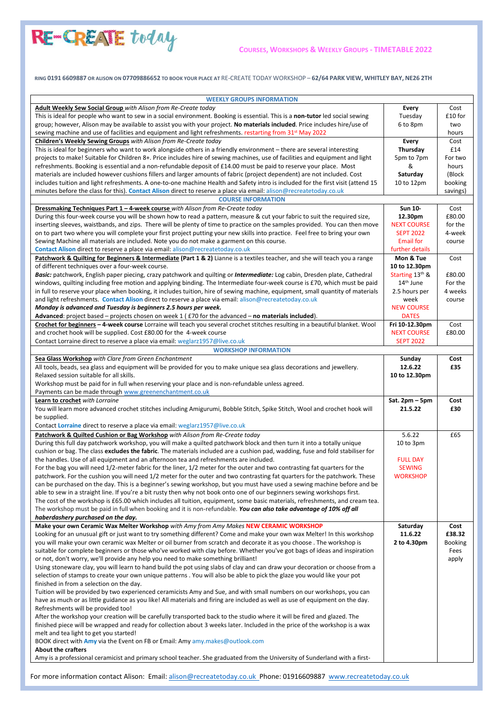

RING 0191 6609887 OR ALISON ON 07709886652 TO BOOK YOUR PLACE AT RE-CREATE TODAY WORKSHOP - 62/64 PARK VIEW, WHITLEY BAY, NE26 2TH

| <b>WEEKLY GROUPS INFORMATION</b>                                                                                                                                                                                                                         |                            |                |
|----------------------------------------------------------------------------------------------------------------------------------------------------------------------------------------------------------------------------------------------------------|----------------------------|----------------|
| Adult Weekly Sew Social Group with Alison from Re-Create today                                                                                                                                                                                           | Every                      | Cost           |
| This is ideal for people who want to sew in a social environment. Booking is essential. This is a non-tutor led social sewing                                                                                                                            | Tuesday                    | £10 for        |
| group; however, Alison may be available to assist you with your project. No materials included. Price includes hire/use of                                                                                                                               | 6 to 8pm                   | two            |
| sewing machine and use of facilities and equipment and light refreshments. restarting from 31 <sup>st</sup> May 2022                                                                                                                                     |                            | hours          |
| Children's Weekly Sewing Groups with Alison from Re-Create today                                                                                                                                                                                         | <b>Every</b>               | Cost<br>£14    |
| This is ideal for beginners who want to work alongside others in a friendly environment – there are several interesting<br>projects to make! Suitable for Children 8+. Price includes hire of sewing machines, use of facilities and equipment and light | Thursday<br>5pm to 7pm     | For two        |
| refreshments. Booking is essential and a non-refundable deposit of £14.00 must be paid to reserve your place. Most                                                                                                                                       | &                          | hours          |
| materials are included however cushions fillers and larger amounts of fabric (project dependent) are not included. Cost                                                                                                                                  | Saturday                   | (Block         |
| includes tuition and light refreshments. A one-to-one machine Health and Safety intro is included for the first visit (attend 15                                                                                                                         | 10 to 12pm                 | booking        |
| minutes before the class for this). Contact Alison direct to reserve a place via email: alison@recreatetoday.co.uk                                                                                                                                       |                            | savings)       |
| <b>COURSE INFORMATION</b><br>Dressmaking Techniques Part 1 - 4-week course with Alison from Re-Create today                                                                                                                                              | Sun 10-                    |                |
| During this four-week course you will be shown how to read a pattern, measure & cut your fabric to suit the required size,                                                                                                                               | 12.30pm                    | Cost<br>£80.00 |
| inserting sleeves, waistbands, and zips. There will be plenty of time to practice on the samples provided. You can then move                                                                                                                             | <b>NEXT COURSE</b>         | for the        |
| on to part two where you will complete your first project putting your new skills into practice. Feel free to bring your own                                                                                                                             | <b>SEPT 2022</b>           | 4-week         |
| Sewing Machine all materials are included. Note you do not make a garment on this course.                                                                                                                                                                | <b>Email for</b>           | course         |
| Contact Alison direct to reserve a place via email: alison@recreatetoday.co.uk                                                                                                                                                                           | further details            |                |
| Patchwork & Quilting for Beginners & Intermediate (Part 1 & 2) Lianne is a textiles teacher, and she will teach you a range<br>of different techniques over a four-week course.                                                                          | Mon & Tue<br>10 to 12.30pm | Cost           |
| Basic: patchwork, English paper piecing, crazy patchwork and quilting or Intermediate: Log cabin, Dresden plate, Cathedral                                                                                                                               | Starting $13th$ &          | £80.00         |
| windows, quilting including free motion and applying binding. The Intermediate four-week course is £70, which must be paid                                                                                                                               | 14 <sup>th</sup> June      | For the        |
| in full to reserve your place when booking, it includes tuition, hire of sewing machine, equipment, small quantity of materials                                                                                                                          | 2.5 hours per              | 4 weeks        |
| and light refreshments. Contact Alison direct to reserve a place via email: alison@recreatetoday.co.uk<br>Monday is advanced and Tuesday is beginners 2.5 hours per week.                                                                                | week<br><b>NEW COURSE</b>  | course         |
| <b>Advanced</b> : project based – projects chosen on week 1 ( $£70$ for the advanced – no materials included).                                                                                                                                           | <b>DATES</b>               |                |
| Crochet for beginners - 4-week course Lorraine will teach you several crochet stitches resulting in a beautiful blanket. Wool                                                                                                                            | Fri 10-12.30pm             | Cost           |
| and crochet hook will be supplied. Cost £80.00 for the 4-week course                                                                                                                                                                                     | <b>NEXT COURSE</b>         | £80.00         |
| Contact Lorraine direct to reserve a place via email: weglarz1957@live.co.uk                                                                                                                                                                             | <b>SEPT 2022</b>           |                |
| <b>WORKSHOP INFORMATION</b>                                                                                                                                                                                                                              |                            |                |
| Sea Glass Workshop with Clare from Green Enchantment                                                                                                                                                                                                     | Sunday                     | Cost           |
| All tools, beads, sea glass and equipment will be provided for you to make unique sea glass decorations and jewellery.<br>Relaxed session suitable for all skills.                                                                                       | 12.6.22                    | £35            |
|                                                                                                                                                                                                                                                          |                            |                |
|                                                                                                                                                                                                                                                          | 10 to 12.30pm              |                |
| Workshop must be paid for in full when reserving your place and is non-refundable unless agreed.<br>Payments can be made through www.greenenchantment.co.uk                                                                                              |                            |                |
| Learn to crochet with Lorraine                                                                                                                                                                                                                           | Sat. 2pm - 5pm             | Cost           |
| You will learn more advanced crochet stitches including Amigurumi, Bobble Stitch, Spike Stitch, Wool and crochet hook will                                                                                                                               | 21.5.22                    | £30            |
| be supplied.                                                                                                                                                                                                                                             |                            |                |
| Contact Lorraine direct to reserve a place via email: weglarz1957@live.co.uk                                                                                                                                                                             |                            |                |
| Patchwork & Quilted Cushion or Bag Workshop with Alison from Re-Create today                                                                                                                                                                             | 5.6.22                     | £65            |
| During this full day patchwork workshop, you will make a quilted patchwork block and then turn it into a totally unique                                                                                                                                  | 10 to 3pm                  |                |
| cushion or bag. The class excludes the fabric. The materials included are a cushion pad, wadding, fuse and fold stabiliser for<br>the handles. Use of all equipment and an afternoon tea and refreshments are included.                                  | <b>FULL DAY</b>            |                |
| For the bag you will need 1/2-meter fabric for the liner, 1/2 meter for the outer and two contrasting fat quarters for the                                                                                                                               | <b>SEWING</b>              |                |
| patchwork. For the cushion you will need 1/2 meter for the outer and two contrasting fat quarters for the patchwork. These                                                                                                                               | <b>WORKSHOP</b>            |                |
| can be purchased on the day. This is a beginner's sewing workshop, but you must have used a sewing machine before and be                                                                                                                                 |                            |                |
| able to sew in a straight line. If you're a bit rusty then why not book onto one of our beginners sewing workshops first.                                                                                                                                |                            |                |
| The cost of the workshop is £65.00 which includes all tuition, equipment, some basic materials, refreshments, and cream tea.                                                                                                                             |                            |                |
| The workshop must be paid in full when booking and it is non-refundable. You can also take advantage of 10% off all                                                                                                                                      |                            |                |
| haberdashery purchased on the day.<br>Make your own Ceramic Wax Melter Workshop with Amy from Amy Makes NEW CERAMIC WORKSHOP                                                                                                                             | Saturday                   | Cost           |
| Looking for an unusual gift or just want to try something different? Come and make your own wax Melter! In this workshop                                                                                                                                 | 11.6.22                    | £38.32         |
| you will make your own ceramic wax Melter or oil burner from scratch and decorate it as you choose . The workshop is                                                                                                                                     | 2 to 4.30pm                | Booking        |
| suitable for complete beginners or those who've worked with clay before. Whether you've got bags of ideas and inspiration                                                                                                                                |                            | Fees           |
| or not, don't worry, we'll provide any help you need to make something brilliant!                                                                                                                                                                        |                            | apply          |
| Using stoneware clay, you will learn to hand build the pot using slabs of clay and can draw your decoration or choose from a                                                                                                                             |                            |                |
| selection of stamps to create your own unique patterns. You will also be able to pick the glaze you would like your pot<br>finished in from a selection on the day.                                                                                      |                            |                |
| Tuition will be provided by two experienced ceramicists Amy and Sue, and with small numbers on our workshops, you can                                                                                                                                    |                            |                |
| have as much or as little guidance as you like! All materials and firing are included as well as use of equipment on the day.                                                                                                                            |                            |                |
| Refreshments will be provided too!                                                                                                                                                                                                                       |                            |                |
| After the workshop your creation will be carefully transported back to the studio where it will be fired and glazed. The                                                                                                                                 |                            |                |
| finished piece will be wrapped and ready for collection about 3 weeks later. Included in the price of the workshop is a wax                                                                                                                              |                            |                |
| melt and tea light to get you started!<br>BOOK direct with Amy via the Event on FB or Email: Amy amy.makes@outlook.com                                                                                                                                   |                            |                |
| <b>About the crafters</b>                                                                                                                                                                                                                                |                            |                |

For more information contact Alison: Email: [alison@recreatetoday.co.uk](mailto:alison@recreatetoday.co.uk) Phone: 01916609887 [www.recreatetoday.co.uk](http://www.recreatetoday.co.uk/)